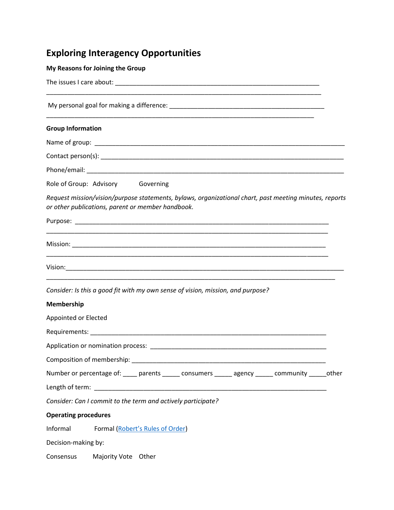## **Exploring Interagency Opportunities**

## **My Reasons for Joining the Group**

| <b>Group Information</b>                                                                                                                                                                                                       |  |
|--------------------------------------------------------------------------------------------------------------------------------------------------------------------------------------------------------------------------------|--|
|                                                                                                                                                                                                                                |  |
|                                                                                                                                                                                                                                |  |
|                                                                                                                                                                                                                                |  |
| Role of Group: Advisory Governing                                                                                                                                                                                              |  |
| Request mission/vision/purpose statements, bylaws, organizational chart, past meeting minutes, reports<br>or other publications, parent or member handbook.                                                                    |  |
|                                                                                                                                                                                                                                |  |
|                                                                                                                                                                                                                                |  |
|                                                                                                                                                                                                                                |  |
| Consider: Is this a good fit with my own sense of vision, mission, and purpose?                                                                                                                                                |  |
| Membership                                                                                                                                                                                                                     |  |
| Appointed or Elected                                                                                                                                                                                                           |  |
|                                                                                                                                                                                                                                |  |
| Application or nomination process: Application of the state of the state of the state of the state of the state of the state of the state of the state of the state of the state of the state of the state of the state of the |  |
|                                                                                                                                                                                                                                |  |
| Number or percentage of: ____ parents _____ consumers _____ agency _____ community _____ other                                                                                                                                 |  |
|                                                                                                                                                                                                                                |  |
| Consider: Can I commit to the term and actively participate?                                                                                                                                                                   |  |
| <b>Operating procedures</b>                                                                                                                                                                                                    |  |
| Informal<br>Formal (Robert's Rules of Order)                                                                                                                                                                                   |  |
| Decision-making by:                                                                                                                                                                                                            |  |
| Consensus<br>Majority Vote Other                                                                                                                                                                                               |  |